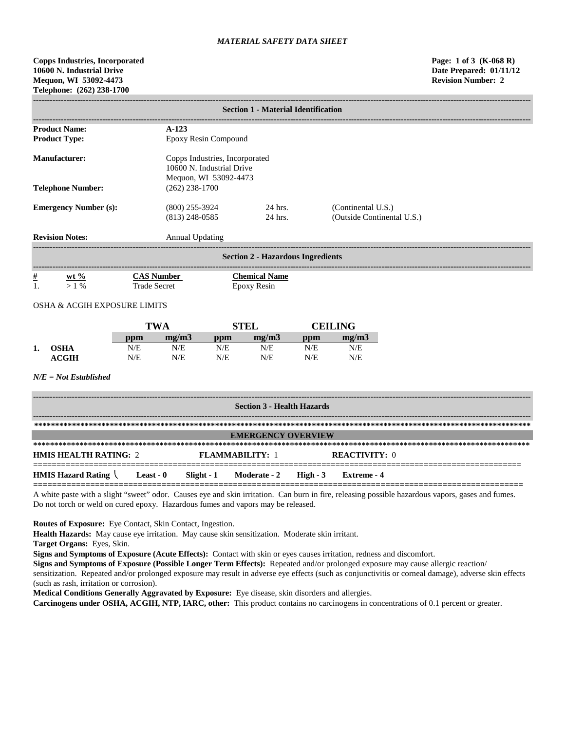**Copps Industries, Incorporated Page: 1 of 3 (K-068 R) 10600 N. Industrial Drive Date Prepared: 01/11/12 Mequon, WI 53092-4473 Revision Number: 2 Telephone: (262) 238-1700**

|                                                                                                       | <b>Section 1 - Material Identification</b> |                                     |                                                  |  |  |  |  |
|-------------------------------------------------------------------------------------------------------|--------------------------------------------|-------------------------------------|--------------------------------------------------|--|--|--|--|
| <b>Product Name:</b>                                                                                  | $A-123$                                    |                                     |                                                  |  |  |  |  |
| <b>Product Type:</b>                                                                                  | Epoxy Resin Compound                       |                                     |                                                  |  |  |  |  |
| Manufacturer:<br>Copps Industries, Incorporated<br>10600 N. Industrial Drive<br>Mequon, WI 53092-4473 |                                            |                                     |                                                  |  |  |  |  |
| <b>Telephone Number:</b>                                                                              | $(262)$ 238-1700                           |                                     |                                                  |  |  |  |  |
| <b>Emergency Number (s):</b>                                                                          | $(800)$ 255-3924<br>$(813)$ 248-0585       | 24 hrs.<br>24 hrs.                  | (Continental U.S.)<br>(Outside Continental U.S.) |  |  |  |  |
| <b>Revision Notes:</b>                                                                                | Annual Updating                            |                                     |                                                  |  |  |  |  |
| <b>Section 2 - Hazardous Ingredients</b>                                                              |                                            |                                     |                                                  |  |  |  |  |
| $\frac{\#}{1}$<br>$wt %$<br>$>1\%$                                                                    | <b>CAS Number</b><br><b>Trade Secret</b>   | <b>Chemical Name</b><br>Epoxy Resin |                                                  |  |  |  |  |

# OSHA & ACGIH EXPOSURE LIMITS

|    |                  | TWA |       | STEL              |       | <b>CEILING</b> |       |
|----|------------------|-----|-------|-------------------|-------|----------------|-------|
|    |                  | ppm | me/m3 | $\bf{p}_{\rm{D}}$ | me/m3 | ppm            | me/m3 |
| 1. | <b>OSHA</b>      | N/E | N/E   | N/E               | N/E   | N/E            | N/E   |
|    | $\mathbf{ACGIH}$ | N/E | N/E   | N/E               | N/E   | N/E            | N/E   |

## *N/E = Not Established*

| <b>Section 3 - Health Hazards</b>                          |                                  |               |  |  |  |  |  |
|------------------------------------------------------------|----------------------------------|---------------|--|--|--|--|--|
|                                                            |                                  |               |  |  |  |  |  |
| <b>EMERGENCY OVERVIEW</b>                                  |                                  |               |  |  |  |  |  |
| <b>HMIS HEALTH RATING: 2</b>                               | <b>FLAMMARILITY: 1</b>           | REACTIVITY: 0 |  |  |  |  |  |
|                                                            |                                  |               |  |  |  |  |  |
| <b>HMIS Hazard Rating <math>\setminus</math> Least - 0</b> | Slight - 1 Moderate - 2 High - 3 | Extreme - 4   |  |  |  |  |  |

A white paste with a slight "sweet" odor. Causes eye and skin irritation. Can burn in fire, releasing possible hazardous vapors, gases and fumes. Do not torch or weld on cured epoxy. Hazardous fumes and vapors may be released.

**Routes of Exposure:** Eye Contact, Skin Contact, Ingestion.

**Health Hazards:** May cause eye irritation. May cause skin sensitization. Moderate skin irritant.

**Target Organs:** Eyes, Skin.

**Signs and Symptoms of Exposure (Acute Effects):** Contact with skin or eyes causes irritation, redness and discomfort.

**Signs and Symptoms of Exposure (Possible Longer Term Effects):** Repeated and/or prolonged exposure may cause allergic reaction/ sensitization. Repeated and/or prolonged exposure may result in adverse eye effects (such as conjunctivitis or corneal damage), adverse skin effects (such as rash, irritation or corrosion).

**Medical Conditions Generally Aggravated by Exposure:** Eye disease, skin disorders and allergies.

**Carcinogens under OSHA, ACGIH, NTP, IARC, other:** This product contains no carcinogens in concentrations of 0.1 percent or greater.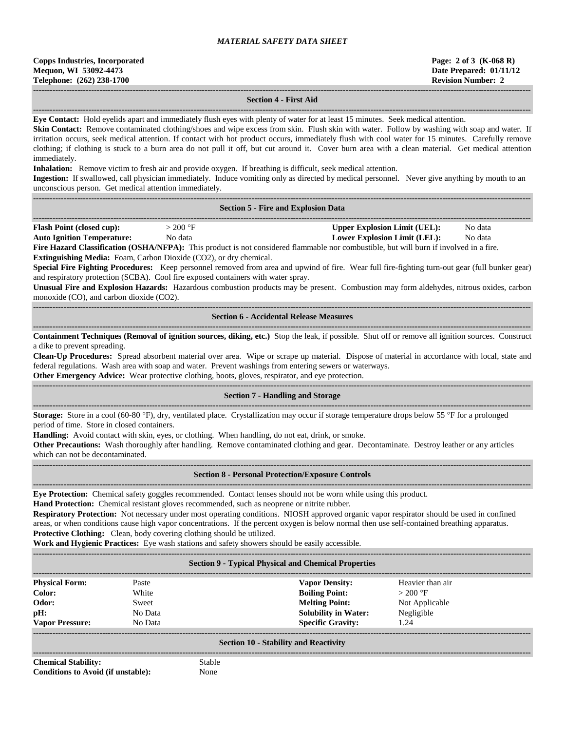| <b>Copps Industries, Incorporated</b> |
|---------------------------------------|
| Mequon, WI 53092-4473                 |
| Telephone: (262) 238-1700             |

## **------------------------------------------------------------------------------------------------------------------------------------------------------------------------------------ Section 4 - First Aid**

**------------------------------------------------------------------------------------------------------------------------------------------------------------------------------------ Eye Contact:** Hold eyelids apart and immediately flush eyes with plenty of water for at least 15 minutes. Seek medical attention.

**Skin Contact:** Remove contaminated clothing/shoes and wipe excess from skin. Flush skin with water. Follow by washing with soap and water. If irritation occurs, seek medical attention. If contact with hot product occurs, immediately flush with cool water for 15 minutes. Carefully remove clothing; if clothing is stuck to a burn area do not pull it off, but cut around it. Cover burn area with a clean material. Get medical attention immediately.

**Inhalation:** Remove victim to fresh air and provide oxygen. If breathing is difficult, seek medical attention.

**Ingestion:** If swallowed, call physician immediately. Induce vomiting only as directed by medical personnel. Never give anything by mouth to an unconscious person. Get medical attention immediately.

| <b>Section 5 - Fire and Explosion Data</b> |  |
|--------------------------------------------|--|

| -------                          |     |                              |              |
|----------------------------------|-----|------------------------------|--------------|
| <b>Flash Point (closed cup):</b> | 200 | Upper Explosion Limit (UEL): | Nο<br>o data |

**Auto Ignition Temperature:** No data **Lower Explosion Limit (LEL):** No data

**Fire Hazard Classification (OSHA/NFPA):** This product is not considered flammable nor combustible, but will burn if involved in a fire. **Extinguishing Media:** Foam, Carbon Dioxide (CO2), or dry chemical.

**Special Fire Fighting Procedures:** Keep personnel removed from area and upwind of fire. Wear full fire-fighting turn-out gear (full bunker gear) and respiratory protection (SCBA). Cool fire exposed containers with water spray.

**Unusual Fire and Explosion Hazards:** Hazardous combustion products may be present. Combustion may form aldehydes, nitrous oxides, carbon monoxide (CO), and carbon dioxide (CO2).

**------------------------------------------------------------------------------------------------------------------------------------------------------------------------------------ Section 6 - Accidental Release Measures**

**------------------------------------------------------------------------------------------------------------------------------------------------------------------------------------ Containment Techniques (Removal of ignition sources, diking, etc.)** Stop the leak, if possible. Shut off or remove all ignition sources. Construct a dike to prevent spreading.

**Clean-Up Procedures:** Spread absorbent material over area. Wipe or scrape up material. Dispose of material in accordance with local, state and federal regulations. Wash area with soap and water. Prevent washings from entering sewers or waterways.

**Other Emergency Advice:** Wear protective clothing, boots, gloves, respirator, and eye protection.

### ------------------------------------------------------------------------------------------------------------------------------------------------------------------------------------ **Section 7 - Handling and Storage**

**------------------------------------------------------------------------------------------------------------------------------------------------------------------------------------ Storage:** Store in a cool (60-80 °F), dry, ventilated place. Crystallization may occur if storage temperature drops below 55 °F for a prolonged period of time. Store in closed containers.

**Handling:** Avoid contact with skin, eyes, or clothing. When handling, do not eat, drink, or smoke.

**Other Precautions:** Wash thoroughly after handling. Remove contaminated clothing and gear. Decontaminate. Destroy leather or any articles which can not be decontaminated.

**------------------------------------------------------------------------------------------------------------------------------------------------------------------------------------**

#### **------------------------------------------------------------------------------------------------------------------------------------------------------------------------------------ Section 8 - Personal Protection/Exposure Controls**

**Eye Protection:** Chemical safety goggles recommended. Contact lenses should not be worn while using this product.

**Hand Protection:** Chemical resistant gloves recommended, such as neoprene or nitrite rubber.

**Respiratory Protection:** Not necessary under most operating conditions. NIOSH approved organic vapor respirator should be used in confined areas, or when conditions cause high vapor concentrations. If the percent oxygen is below normal then use self-contained breathing apparatus. **Protective Clothing:** Clean, body covering clothing should be utilized.

**Work and Hygienic Practices:** Eye wash stations and safety showers should be easily accessible. **------------------------------------------------------------------------------------------------------------------------------------------------------------------------------------**

## **Section 9 - Typical Physical and Chemical Properties**

| <b>Physical Form:</b>  | Paste   | <b>Vapor Density:</b>       | Heavier than air |
|------------------------|---------|-----------------------------|------------------|
| Color:                 | White   | <b>Boiling Point:</b>       | $>200$ °F        |
| Odor:                  | Sweet   | <b>Melting Point:</b>       | Not Applicable   |
| pH:                    | No Data | <b>Solubility in Water:</b> | Negligible       |
| <b>Vapor Pressure:</b> | No Data | <b>Specific Gravity:</b>    | 1.24             |
|                        |         |                             |                  |

#### **Section 10 - Stability and Reactivity**

**------------------------------------------------------------------------------------------------------------------------------------------------------------------------------------ Chemical Stability:** Stable **Conditions to Avoid (if unstable):** None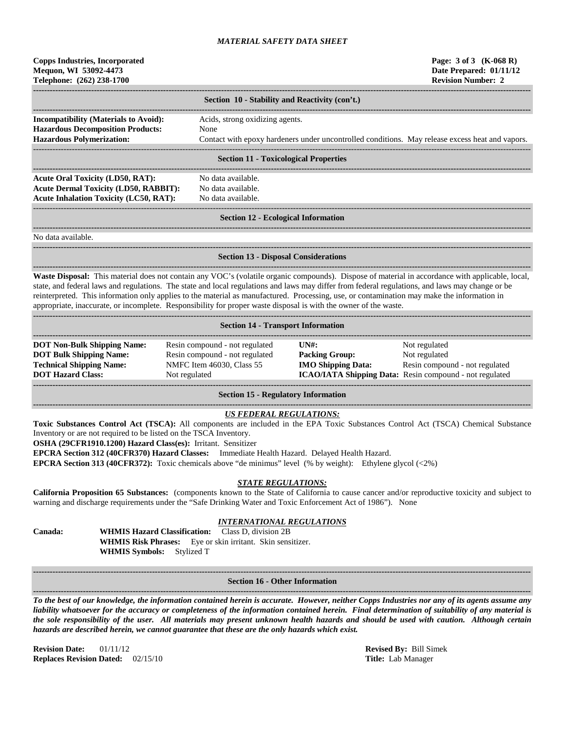| <b>Copps Industries, Incorporated</b> |
|---------------------------------------|
| Mequon, WI 53092-4473                 |
| Telephone: (262) 238-1700             |

|                                                                                          | Section 10 - Stability and Reactivity (con't.)                                                  |
|------------------------------------------------------------------------------------------|-------------------------------------------------------------------------------------------------|
| <b>Incompatibility (Materials to Avoid):</b><br><b>Hazardous Decomposition Products:</b> | Acids, strong oxidizing agents.<br>None                                                         |
| <b>Hazardous Polymerization:</b>                                                         | Contact with epoxy hardeners under uncontrolled conditions. May release excess heat and vapors. |

#### **Section 11 - Toxicological Properties**

**------------------------------------------------------------------------------------------------------------------------------------------------------------------------------------ Acute Oral Toxicity (LD50, RAT):** No data available. **Acute Dermal Toxicity (LD50, RABBIT):** No data available. Acute Inhalation Toxicity (LC50, RAT): No data available.

## ------------------------------------------------------------------------------------------------------------------------------------------------------------------------------------ **Section 12 - Ecological Information**

**------------------------------------------------------------------------------------------------------------------------------------------------------------------------------------** No data available.

#### **------------------------------------------------------------------------------------------------------------------------------------------------------------------------------------ Section 13 - Disposal Considerations**

**------------------------------------------------------------------------------------------------------------------------------------------------------------------------------------ Waste Disposal:** This material does not contain any VOC's (volatile organic compounds). Dispose of material in accordance with applicable, local, state, and federal laws and regulations. The state and local regulations and laws may differ from federal regulations, and laws may change or be reinterpreted. This information only applies to the material as manufactured. Processing, use, or contamination may make the information in appropriate, inaccurate, or incomplete. Responsibility for proper waste disposal is with the owner of the waste.

| <b>Section 14 - Transport Information</b> |                                |                                                |                                                                |  |  |  |
|-------------------------------------------|--------------------------------|------------------------------------------------|----------------------------------------------------------------|--|--|--|
|                                           |                                |                                                |                                                                |  |  |  |
| <b>DOT Non-Bulk Shipping Name:</b>        | Resin compound - not regulated | $\overline{I}$ $\overline{N}$ $\overline{H}$ : | Not regulated                                                  |  |  |  |
| <b>DOT Bulk Shipping Name:</b>            | Resin compound - not regulated | <b>Packing Group:</b>                          | Not regulated                                                  |  |  |  |
| <b>Technical Shipping Name:</b>           | NMFC Item 46030, Class 55      | <b>IMO Shipping Data:</b>                      | Resin compound - not regulated                                 |  |  |  |
| <b>DOT Hazard Class:</b>                  | Not regulated                  |                                                | <b>ICAO/IATA Shipping Data:</b> Resin compound - not regulated |  |  |  |
|                                           |                                |                                                |                                                                |  |  |  |
|                                           |                                |                                                |                                                                |  |  |  |

**Section 15 - Regulatory Information**

#### **------------------------------------------------------------------------------------------------------------------------------------------------------------------------------------** *US FEDERAL REGULATIONS:*

**Toxic Substances Control Act (TSCA):** All components are included in the EPA Toxic Substances Control Act (TSCA) Chemical Substance Inventory or are not required to be listed on the TSCA Inventory.

**OSHA (29CFR1910.1200) Hazard Class(es):** Irritant. Sensitizer

**EPCRA Section 312 (40CFR370) Hazard Classes:** Immediate Health Hazard. Delayed Health Hazard.

**EPCRA Section 313 (40CFR372):** Toxic chemicals above "de minimus" level (% by weight): Ethylene glycol (<2%)

#### *STATE REGULATIONS:*

**California Proposition 65 Substances:** (components known to the State of California to cause cancer and/or reproductive toxicity and subject to warning and discharge requirements under the "Safe Drinking Water and Toxic Enforcement Act of 1986"). None

## *INTERNATIONAL REGULATIONS*

**Canada: WHMIS Hazard Classification:** Class D, division 2B **WHMIS Risk Phrases:** Eye or skin irritant. Skin sensitizer. **WHMIS Symbols:** Stylized T

**------------------------------------------------------------------------------------------------------------------------------------------------------------------------------------ Section 16 - Other Information ------------------------------------------------------------------------------------------------------------------------------------------------------------------------------------**

*To the best of our knowledge, the information contained herein is accurate. However, neither Copps Industries nor any of its agents assume any liability whatsoever for the accuracy or completeness of the information contained herein. Final determination of suitability of any material is the sole responsibility of the user. All materials may present unknown health hazards and should be used with caution. Although certain hazards are described herein, we cannot guarantee that these are the only hazards which exist.*

**Revision Date:** 01/11/12 **Revised By:** Bill Simek **Replaces Revision Dated:** 02/15/10 **Title:** Lab Manager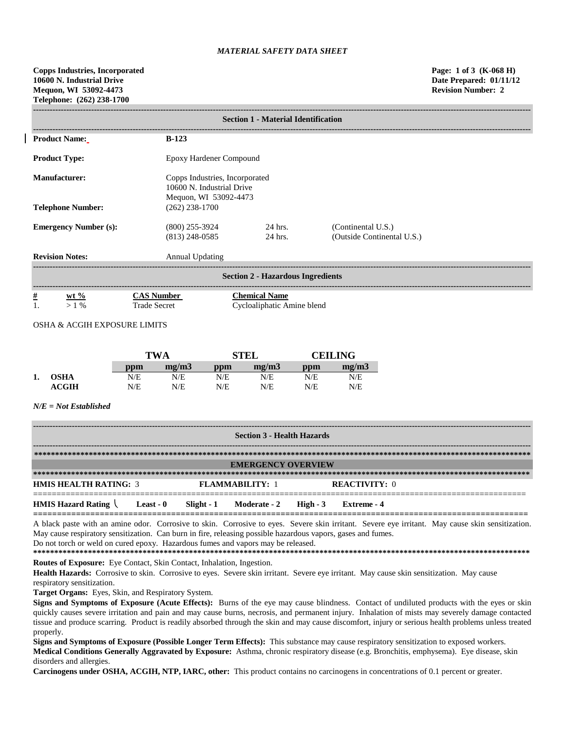| <b>Section 1 - Material Identification</b> |                                                                                      |                                                    |                                                  |  |  |  |
|--------------------------------------------|--------------------------------------------------------------------------------------|----------------------------------------------------|--------------------------------------------------|--|--|--|
| <b>Product Name:</b>                       | $B-123$                                                                              |                                                    |                                                  |  |  |  |
| <b>Product Type:</b>                       | Epoxy Hardener Compound                                                              |                                                    |                                                  |  |  |  |
| <b>Manufacturer:</b>                       | Copps Industries, Incorporated<br>10600 N. Industrial Drive<br>Mequon, WI 53092-4473 |                                                    |                                                  |  |  |  |
| <b>Telephone Number:</b>                   | $(262)$ 238-1700                                                                     |                                                    |                                                  |  |  |  |
| <b>Emergency Number (s):</b>               | $(800)$ 255-3924<br>$(813)$ 248-0585                                                 | 24 hrs.<br>24 hrs.                                 | (Continental U.S.)<br>(Outside Continental U.S.) |  |  |  |
| <b>Revision Notes:</b>                     | <b>Annual Updating</b>                                                               |                                                    |                                                  |  |  |  |
| <b>Section 2 - Hazardous Ingredients</b>   |                                                                                      |                                                    |                                                  |  |  |  |
| $\frac{\#}{1}$<br>$wt %$<br>$>1\%$         | <b>CAS Number</b><br><b>Trade Secret</b>                                             | <b>Chemical Name</b><br>Cycloaliphatic Amine blend |                                                  |  |  |  |

# OSHA & ACGIH EXPOSURE LIMITS

|    |                  | <b>TWA</b> |       | <b>STEL</b> |       | <b>CEILING</b> |       |
|----|------------------|------------|-------|-------------|-------|----------------|-------|
|    |                  | ppm        | mg/m3 | ppm         | me/m3 | ppm            | mg/m3 |
| 1. | OSHA             | N/E        | N/E   | N/E         | N/E   | N/E            | N/E   |
|    | $\mathbf{ACGIH}$ | N/E        | N/E   | N/E         | N/E   | N/E            | N/E   |

## *N/E = Not Established*

| <b>Section 3 - Health Hazards</b>             |                                   |                          |  |
|-----------------------------------------------|-----------------------------------|--------------------------|--|
|                                               |                                   |                          |  |
| <b>EMERGENCY OVERVIEW</b>                     |                                   |                          |  |
|                                               |                                   |                          |  |
| <b>HMIS HEALTH RATING: 3</b>                  | <b>FLAMMARILITY: 1</b>            | <b>REACTIVITY: 0</b>     |  |
| <b>HMIS Hazard Rating</b><br><b>Least - 0</b> | Slight - 1<br><b>Moderate - 2</b> | High $-3$<br>Extreme - 4 |  |

**========================================================================================================** A black paste with an amine odor. Corrosive to skin. Corrosive to eyes. Severe skin irritant. Severe eye irritant. May cause skin sensitization. May cause respiratory sensitization. Can burn in fire, releasing possible hazardous vapors, gases and fumes. Do not torch or weld on cured epoxy. Hazardous fumes and vapors may be released.

**\*\*\*\*\*\*\*\*\*\*\*\*\*\*\*\*\*\*\*\*\*\*\*\*\*\*\*\*\*\*\*\*\*\*\*\*\*\*\*\*\*\*\*\*\*\*\*\*\*\*\*\*\*\*\*\*\*\*\*\*\*\*\*\*\*\*\*\*\*\*\*\*\*\*\*\*\*\*\*\*\*\*\*\*\*\*\*\*\*\*\*\*\*\*\*\*\*\*\*\*\*\*\*\*\*\*\*\*\*\*\*\*\*\*\*\*\*\* Routes of Exposure:** Eye Contact, Skin Contact, Inhalation, Ingestion.

Health Hazards: Corrosive to skin. Corrosive to eyes. Severe skin irritant. Severe eye irritant. May cause skin sensitization. May cause respiratory sensitization.

**Target Organs:** Eyes, Skin, and Respiratory System.

**Signs and Symptoms of Exposure (Acute Effects):** Burns of the eye may cause blindness. Contact of undiluted products with the eyes or skin quickly causes severe irritation and pain and may cause burns, necrosis, and permanent injury. Inhalation of mists may severely damage contacted tissue and produce scarring. Product is readily absorbed through the skin and may cause discomfort, injury or serious health problems unless treated properly.

**Signs and Symptoms of Exposure (Possible Longer Term Effects):** This substance may cause respiratory sensitization to exposed workers. **Medical Conditions Generally Aggravated by Exposure:** Asthma, chronic respiratory disease (e.g. Bronchitis, emphysema). Eye disease, skin disorders and allergies.

**Carcinogens under OSHA, ACGIH, NTP, IARC, other:** This product contains no carcinogens in concentrations of 0.1 percent or greater.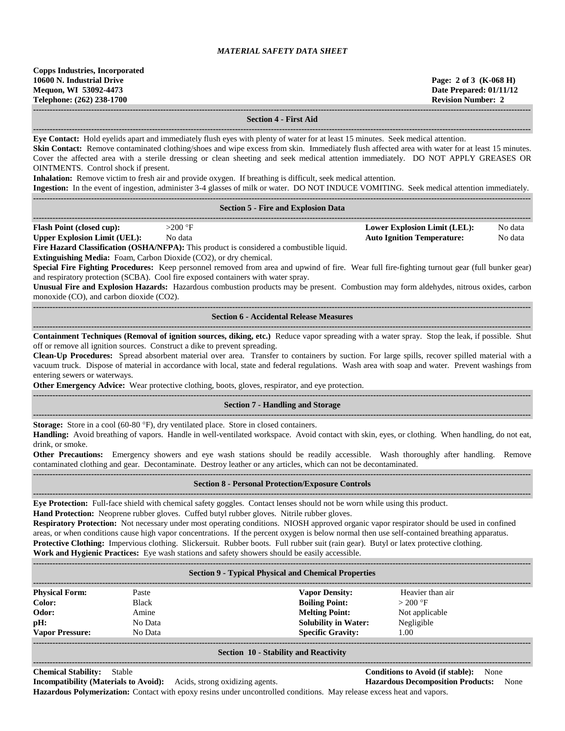| <b>Copps Industries, Incorporated</b> |  |
|---------------------------------------|--|
| 10600 N. Industrial Drive             |  |
| Mequon, WI 53092-4473                 |  |
| Telephone: (262) 238-1700             |  |
|                                       |  |

**10600 N. Industrial Drive Page: 2 of 3 (K-068 H) Date Prepared: 01/11/12 Revision Number: 2** 

**------------------------------------------------------------------------------------------------------------------------------------------------------------------------------------**

### **Section 4 - First Aid**

**------------------------------------------------------------------------------------------------------------------------------------------------------------------------------------ Eye Contact:** Hold eyelids apart and immediately flush eyes with plenty of water for at least 15 minutes. Seek medical attention.

**Skin Contact:** Remove contaminated clothing/shoes and wipe excess from skin. Immediately flush affected area with water for at least 15 minutes. Cover the affected area with a sterile dressing or clean sheeting and seek medical attention immediately. DO NOT APPLY GREASES OR OINTMENTS. Control shock if present.

**Inhalation:** Remove victim to fresh air and provide oxygen. If breathing is difficult, seek medical attention.

|                                            | <b>Ingestion:</b> In the event of ingestion, administer 3-4 glasses of milk or water. DO NOT INDUCE VOMITING. Seek medical attention immediately. |  |                                     |         |
|--------------------------------------------|---------------------------------------------------------------------------------------------------------------------------------------------------|--|-------------------------------------|---------|
|                                            |                                                                                                                                                   |  |                                     |         |
| <b>Section 5 - Fire and Explosion Data</b> |                                                                                                                                                   |  |                                     |         |
| <b>Flash Point (closed cup):</b>           | $>200$ °F                                                                                                                                         |  | <b>Lower Explosion Limit (LEL):</b> | No data |
| <b>Upper Explosion Limit (UEL):</b>        | No data                                                                                                                                           |  | <b>Auto Ignition Temperature:</b>   | No data |
|                                            | <b>Fire Hazard Classification (OSHA/NFPA)</b> This product is considered a combustible liquid                                                     |  |                                     |         |

**Fire Hazard Classification (OSHA/NFPA):** This product is considered a combustible liquid.

**Extinguishing Media:** Foam, Carbon Dioxide (CO2), or dry chemical.

**Special Fire Fighting Procedures:** Keep personnel removed from area and upwind of fire. Wear full fire-fighting turnout gear (full bunker gear) and respiratory protection (SCBA). Cool fire exposed containers with water spray.

**Unusual Fire and Explosion Hazards:** Hazardous combustion products may be present. Combustion may form aldehydes, nitrous oxides, carbon monoxide (CO), and carbon dioxide (CO2).

**------------------------------------------------------------------------------------------------------------------------------------------------------------------------------------ Section 6 - Accidental Release Measures**

**------------------------------------------------------------------------------------------------------------------------------------------------------------------------------------ Containment Techniques (Removal of ignition sources, diking, etc.)** Reduce vapor spreading with a water spray. Stop the leak, if possible. Shut off or remove all ignition sources. Construct a dike to prevent spreading.

**Clean-Up Procedures:** Spread absorbent material over area. Transfer to containers by suction. For large spills, recover spilled material with a vacuum truck. Dispose of material in accordance with local, state and federal regulations. Wash area with soap and water. Prevent washings from entering sewers or waterways.

**Other Emergency Advice:** Wear protective clothing, boots, gloves, respirator, and eye protection. **------------------------------------------------------------------------------------------------------------------------------------------------------------------------------------**

## **Section 7 - Handling and Storage**

**------------------------------------------------------------------------------------------------------------------------------------------------------------------------------------ Storage:** Store in a cool (60-80 °F), dry ventilated place. Store in closed containers.

**Handling:** Avoid breathing of vapors. Handle in well-ventilated workspace. Avoid contact with skin, eyes, or clothing. When handling, do not eat, drink, or smoke.

**Other Precautions:** Emergency showers and eye wash stations should be readily accessible. Wash thoroughly after handling. Remove contaminated clothing and gear. Decontaminate. Destroy leather or any articles, which can not be decontaminated. **------------------------------------------------------------------------------------------------------------------------------------------------------------------------------------**

## **Section 8 - Personal Protection/Exposure Controls**

**------------------------------------------------------------------------------------------------------------------------------------------------------------------------------------ Eye Protection:** Full-face shield with chemical safety goggles. Contact lenses should not be worn while using this product.

**Hand Protection:** Neoprene rubber gloves. Cuffed butyl rubber gloves. Nitrile rubber gloves.

**Respiratory Protection:** Not necessary under most operating conditions. NIOSH approved organic vapor respirator should be used in confined areas, or when conditions cause high vapor concentrations. If the percent oxygen is below normal then use self-contained breathing apparatus. **Protective Clothing:** Impervious clothing. Slickersuit. Rubber boots. Full rubber suit (rain gear). Butyl or latex protective clothing. **Work and Hygienic Practices:** Eye wash stations and safety showers should be easily accessible.

| <b>Section 9 - Typical Physical and Chemical Properties</b> |              |                             |                  |
|-------------------------------------------------------------|--------------|-----------------------------|------------------|
| <b>Physical Form:</b>                                       | Paste        | <b>Vapor Density:</b>       | Heavier than air |
| Color:                                                      | <b>Black</b> | <b>Boiling Point:</b>       | $>200$ °F        |
| Odor:                                                       | Amine        | <b>Melting Point:</b>       | Not applicable   |
| pH:                                                         | No Data      | <b>Solubility in Water:</b> | Negligible       |
| <b>Vapor Pressure:</b>                                      | No Data      | <b>Specific Gravity:</b>    | 1.00             |
|                                                             |              |                             |                  |

#### **Section 10 - Stability and Reactivity**

## **Chemical Stability:** Stable **Conditions to Avoid (if stable):** None

**Incompatibility (Materials to Avoid):** Acids, strong oxidizing agents. **Hazardous Decomposition Products:** None **Hazardous Polymerization:** Contact with epoxy resins under uncontrolled conditions. May release excess heat and vapors.

**------------------------------------------------------------------------------------------------------------------------------------------------------------------------------------**